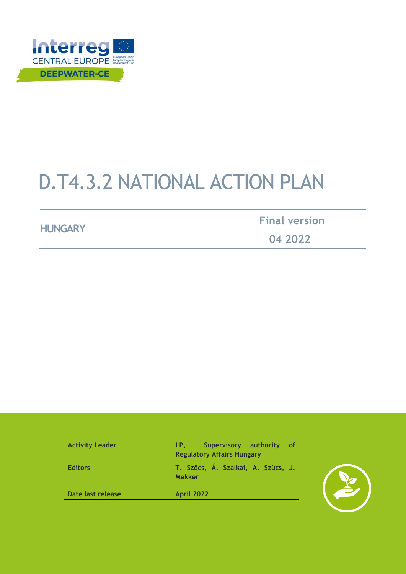

# D.T4.3.2 NATIONAL ACTION PLAN

**HUNGARY Final version**

 **04 2022**

| <b>Activity Leader</b> | LP.<br>Supervisory authority<br>οf<br><b>Regulatory Affairs Hungary</b> |
|------------------------|-------------------------------------------------------------------------|
| <b>Editors</b>         | T. Szőcs, Á. Szalkai, A. Szűcs, J.<br><b>Mekker</b>                     |
| Date last release      | <b>April 2022</b>                                                       |

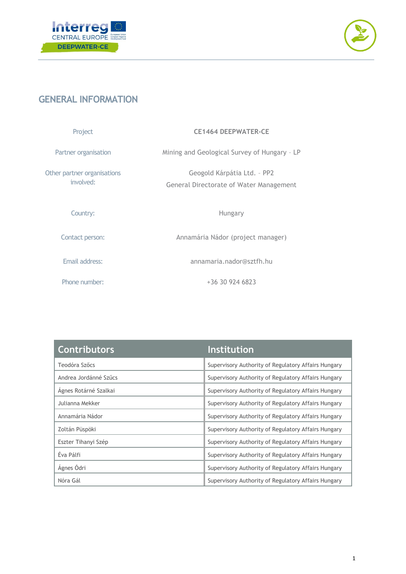



## <span id="page-1-0"></span>**GENERAL INFORMATION**

| Project                                  | <b>CE1464 DEEPWATER-CE</b>                                             |  |
|------------------------------------------|------------------------------------------------------------------------|--|
| Partner organisation                     | Mining and Geological Survey of Hungary - LP                           |  |
| Other partner organisations<br>involved: | Geogold Kárpátia Ltd. - PP2<br>General Directorate of Water Management |  |
| Country:                                 | Hungary                                                                |  |
| Contact person:                          | Annamária Nádor (project manager)                                      |  |
| Email address:                           | annamaria.nador@sztfh.hu                                               |  |
| Phone number:                            | $+36$ 30 924 6823                                                      |  |

| <b>Contributors</b>   | <b>Institution</b>                                  |
|-----------------------|-----------------------------------------------------|
| Teodóra Szőcs         | Supervisory Authority of Regulatory Affairs Hungary |
| Andrea Jordánné Szűcs | Supervisory Authority of Regulatory Affairs Hungary |
| Ágnes Rotárné Szalkai | Supervisory Authority of Regulatory Affairs Hungary |
| Julianna Mekker       | Supervisory Authority of Regulatory Affairs Hungary |
| Annamária Nádor       | Supervisory Authority of Regulatory Affairs Hungary |
| Zoltán Püspöki        | Supervisory Authority of Regulatory Affairs Hungary |
| Eszter Tihanyi Szép   | Supervisory Authority of Regulatory Affairs Hungary |
| Éva Pálfi             | Supervisory Authority of Regulatory Affairs Hungary |
| Ágnes Ódri            | Supervisory Authority of Regulatory Affairs Hungary |
| Nóra Gál              | Supervisory Authority of Regulatory Affairs Hungary |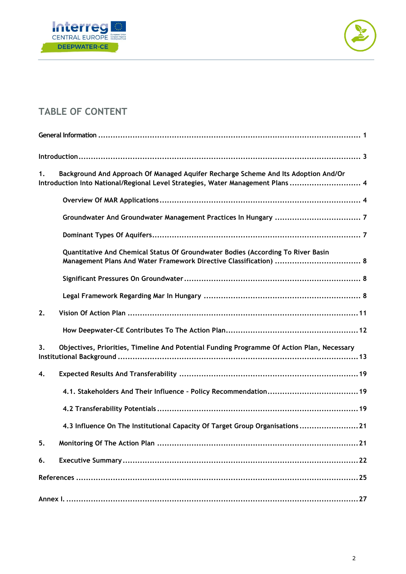



## **TABLE OF CONTENT**

| Background And Approach Of Managed Aquifer Recharge Scheme And Its Adoption And/Or<br>1.<br>Introduction Into National/Regional Level Strategies, Water Management Plans  4 |
|-----------------------------------------------------------------------------------------------------------------------------------------------------------------------------|
|                                                                                                                                                                             |
|                                                                                                                                                                             |
|                                                                                                                                                                             |
| Quantitative And Chemical Status Of Groundwater Bodies (According To River Basin                                                                                            |
|                                                                                                                                                                             |
|                                                                                                                                                                             |
| 2.                                                                                                                                                                          |
|                                                                                                                                                                             |
| Objectives, Priorities, Timeline And Potential Funding Programme Of Action Plan, Necessary<br>3.                                                                            |
| 4.                                                                                                                                                                          |
|                                                                                                                                                                             |
|                                                                                                                                                                             |
| 4.3 Influence On The Institutional Capacity Of Target Group Organisations21                                                                                                 |
| 5.                                                                                                                                                                          |
| 6.                                                                                                                                                                          |
|                                                                                                                                                                             |
|                                                                                                                                                                             |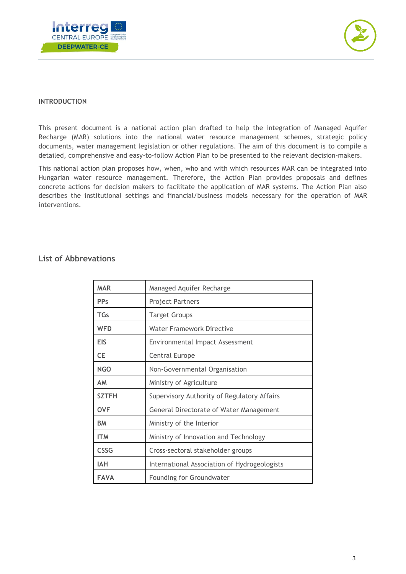



#### <span id="page-3-0"></span>**INTRODUCTION**

This present document is a national action plan drafted to help the integration of Managed Aquifer Recharge (MAR) solutions into the national water resource management schemes, strategic policy documents, water management legislation or other regulations. The aim of this document is to compile a detailed, comprehensive and easy-to-follow Action Plan to be presented to the relevant decision-makers.

This national action plan proposes how, when, who and with which resources MAR can be integrated into Hungarian water resource management. Therefore, the Action Plan provides proposals and defines concrete actions for decision makers to facilitate the application of MAR systems. The Action Plan also describes the institutional settings and financial/business models necessary for the operation of MAR interventions.

#### **List of Abbrevations**

| <b>MAR</b>   | Managed Aquifer Recharge                     |
|--------------|----------------------------------------------|
| <b>PPs</b>   | <b>Project Partners</b>                      |
| <b>TGs</b>   | <b>Target Groups</b>                         |
| <b>WFD</b>   | <b>Water Framework Directive</b>             |
| EIS          | Environmental Impact Assessment              |
| <b>CE</b>    | Central Europe                               |
| <b>NGO</b>   | Non-Governmental Organisation                |
| <b>AM</b>    | Ministry of Agriculture                      |
| <b>SZTFH</b> | Supervisory Authority of Regulatory Affairs  |
| <b>OVF</b>   | General Directorate of Water Management      |
| <b>BM</b>    | Ministry of the Interior                     |
| <b>ITM</b>   | Ministry of Innovation and Technology        |
| <b>CSSG</b>  | Cross-sectoral stakeholder groups            |
| <b>IAH</b>   | International Association of Hydrogeologists |
| <b>FAVA</b>  | Founding for Groundwater                     |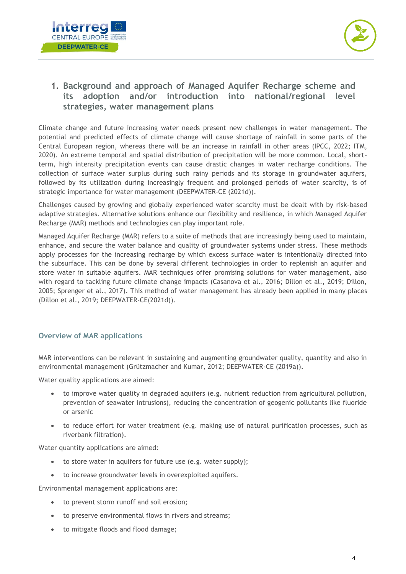



## <span id="page-4-0"></span>**1. Background and approach of Managed Aquifer Recharge scheme and its adoption and/or introduction into national/regional level strategies, water management plans**

Climate change and future increasing water needs present new challenges in water management. The potential and predicted effects of climate change will cause shortage of rainfall in some parts of the Central European region, whereas there will be an increase in rainfall in other areas (IPCC, 2022; ITM, 2020). An extreme temporal and spatial distribution of precipitation will be more common. Local, shortterm, high intensity precipitation events can cause drastic changes in water recharge conditions. The collection of surface water surplus during such rainy periods and its storage in groundwater aquifers, followed by its utilization during increasingly frequent and prolonged periods of water scarcity, is of strategic importance for water management (DEEPWATER-CE (2021d)).

Challenges caused by growing and globally experienced water scarcity must be dealt with by risk-based adaptive strategies. Alternative solutions enhance our flexibility and resilience, in which Managed Aquifer Recharge (MAR) methods and technologies can play important role.

Managed Aquifer Recharge (MAR) refers to a suite of methods that are increasingly being used to maintain, enhance, and secure the water balance and quality of groundwater systems under stress. These methods apply processes for the increasing recharge by which excess surface water is intentionally directed into the subsurface. This can be done by several different technologies in order to replenish an aquifer and store water in suitable aquifers. MAR techniques offer promising solutions for water management, also with regard to tackling future climate change impacts (Casanova et al., 2016; Dillon et al., 2019; Dillon, 2005; Sprenger et al., 2017). This method of water management has already been applied in many places (Dillon et al., 2019; DEEPWATER-CE(2021d)).

#### <span id="page-4-1"></span>**Overview of MAR applications**

MAR interventions can be relevant in sustaining and augmenting groundwater quality, quantity and also in environmental management (Grützmacher and Kumar, 2012; DEEPWATER-CE (2019a)).

Water quality applications are aimed:

- to improve water quality in degraded aquifers (e.g. nutrient reduction from agricultural pollution, prevention of seawater intrusions), reducing the concentration of geogenic pollutants like fluoride or arsenic
- to reduce effort for water treatment (e.g. making use of natural purification processes, such as riverbank filtration).

Water quantity applications are aimed:

- to store water in aquifers for future use (e.g. water supply);
- to increase groundwater levels in overexploited aquifers.

Environmental management applications are:

- to prevent storm runoff and soil erosion;
- to preserve environmental flows in rivers and streams;
- to mitigate floods and flood damage;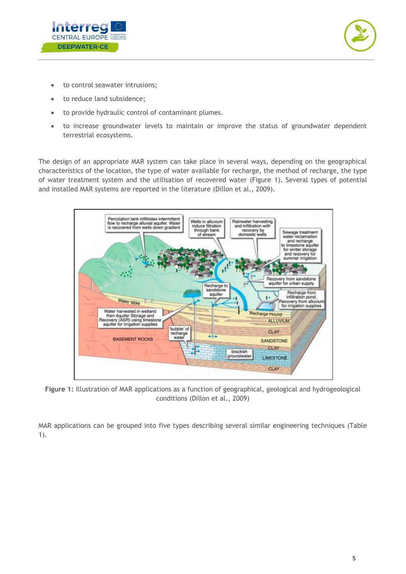



- to control seawater intrusions;
- to reduce land subsidence;
- to provide hydraulic control of contaminant plumes.
- to increase groundwater levels to maintain or improve the status of groundwater dependent terrestrial ecosystems.

The design of an appropriate MAR system can take place in several ways, depending on the geographical characteristics of the location, the type of water available for recharge, the method of recharge, the type of water treatment system and the utilisation of recovered water (Figure 1). Several types of potential and installed MAR systems are reported in the literature (Dillon et al., 2009).



**Figure 1:** Illustration of MAR applications as a function of geographical, geological and hydrogeological conditions (Dillon et al., 2009)

MAR applications can be grouped into five types describing several similar engineering techniques (Table 1).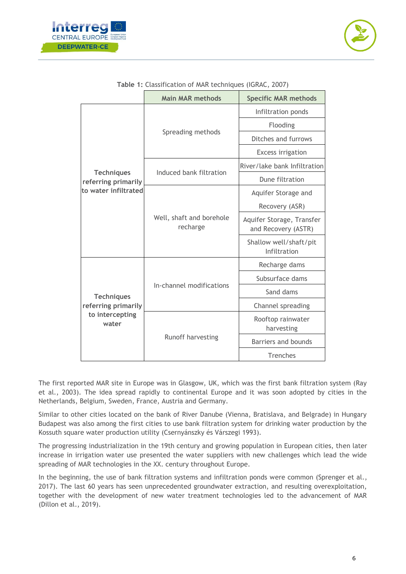



|                                                                      | <b>Main MAR methods</b>              | <b>Specific MAR methods</b>                      |
|----------------------------------------------------------------------|--------------------------------------|--------------------------------------------------|
|                                                                      |                                      | Infiltration ponds                               |
|                                                                      |                                      | Flooding                                         |
|                                                                      | Spreading methods                    | Ditches and furrows                              |
|                                                                      |                                      | <b>Excess irrigation</b>                         |
| <b>Techniques</b>                                                    | Induced bank filtration              | River/lake bank Infiltration                     |
| referring primarily                                                  |                                      | Dune filtration                                  |
| to water infiltrated                                                 |                                      | Aquifer Storage and                              |
|                                                                      |                                      | Recovery (ASR)                                   |
|                                                                      | Well, shaft and borehole<br>recharge | Aquifer Storage, Transfer<br>and Recovery (ASTR) |
|                                                                      |                                      | Shallow well/shaft/pit<br>Infiltration           |
|                                                                      |                                      | Recharge dams                                    |
| <b>Techniques</b><br>referring primarily<br>to intercepting<br>water |                                      | Subsurface dams                                  |
|                                                                      | In-channel modifications             | Sand dams                                        |
|                                                                      |                                      | Channel spreading                                |
|                                                                      |                                      | Rooftop rainwater<br>harvesting                  |
|                                                                      | Runoff harvesting                    | Barriers and bounds                              |
|                                                                      |                                      | Trenches                                         |

#### **Table 1:** Classification of MAR techniques (IGRAC, 2007)

The first reported MAR site in Europe was in Glasgow, UK, which was the first bank filtration system (Ray et al., 2003). The idea spread rapidly to continental Europe and it was soon adopted by cities in the Netherlands, Belgium, Sweden, France, Austria and Germany.

Similar to other cities located on the bank of River Danube (Vienna, Bratislava, and Belgrade) in Hungary Budapest was also among the first cities to use bank filtration system for drinking water production by the Kossuth square water production utility (Csernyánszky és Várszegi 1993).

The progressing industrialization in the 19th century and growing population in European cities, then later increase in irrigation water use presented the water suppliers with new challenges which lead the wide spreading of MAR technologies in the XX. century throughout Europe.

In the beginning, the use of bank filtration systems and infiltration ponds were common (Sprenger et al., 2017). The last 60 years has seen unprecedented groundwater extraction, and resulting overexploitation, together with the development of new water treatment technologies led to the advancement of MAR (Dillon et al., 2019).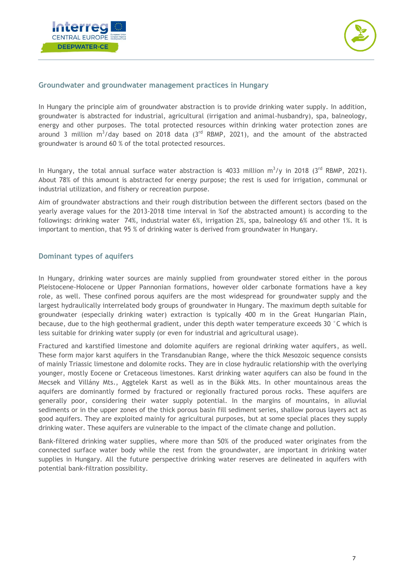



#### <span id="page-7-0"></span>**Groundwater and groundwater management practices in Hungary**

In Hungary the principle aim of groundwater abstraction is to provide drinking water supply. In addition, groundwater is abstracted for industrial, agricultural (irrigation and animal-husbandry), spa, balneology, energy and other purposes. The total protected resources within drinking water protection zones are around 3 million  $m^3$ /day based on 2018 data (3<sup>rd</sup> RBMP, 2021), and the amount of the abstracted groundwater is around 60 % of the total protected resources.

In Hungary, the total annual surface water abstraction is 4033 million  $m^3/y$  in 2018 (3<sup>rd</sup> RBMP, 2021). About 78% of this amount is abstracted for energy purpose; the rest is used for irrigation, communal or industrial utilization, and fishery or recreation purpose.

Aim of groundwater abstractions and their rough distribution between the different sectors (based on the yearly average values for the 2013-2018 time interval in %of the abstracted amount) is according to the followings: drinking water 74%, industrial water 6%, irrigation 2%, spa, balneology 6% and other 1%. It is important to mention, that 95 % of drinking water is derived from groundwater in Hungary.

#### <span id="page-7-1"></span>**Dominant types of aquifers**

In Hungary, drinking water sources are mainly supplied from groundwater stored either in the porous Pleistocene-Holocene or Upper Pannonian formations, however older carbonate formations have a key role, as well. These confined porous aquifers are the most widespread for groundwater supply and the largest hydraulically interrelated body groups of groundwater in Hungary. The maximum depth suitable for groundwater (especially drinking water) extraction is typically 400 m in the Great Hungarian Plain, because, due to the high geothermal gradient, under this depth water temperature exceeds 30 °C which is less suitable for drinking water supply (or even for industrial and agricultural usage).

Fractured and karstified limestone and dolomite aquifers are regional drinking water aquifers, as well. These form major karst aquifers in the Transdanubian Range, where the thick Mesozoic sequence consists of mainly Triassic limestone and dolomite rocks. They are in close hydraulic relationship with the overlying younger, mostly Eocene or Cretaceous limestones. Karst drinking water aquifers can also be found in the Mecsek and Villány Mts., Aggtelek Karst as well as in the Bükk Mts. In other mountainous areas the aquifers are dominantly formed by fractured or regionally fractured porous rocks. These aquifers are generally poor, considering their water supply potential. In the margins of mountains, in alluvial sediments or in the upper zones of the thick porous basin fill sediment series, shallow porous layers act as good aquifers. They are exploited mainly for agricultural purposes, but at some special places they supply drinking water. These aquifers are vulnerable to the impact of the climate change and pollution.

Bank-filtered drinking water supplies, where more than 50% of the produced water originates from the connected surface water body while the rest from the groundwater, are important in drinking water supplies in Hungary. All the future perspective drinking water reserves are delineated in aquifers with potential bank-filtration possibility.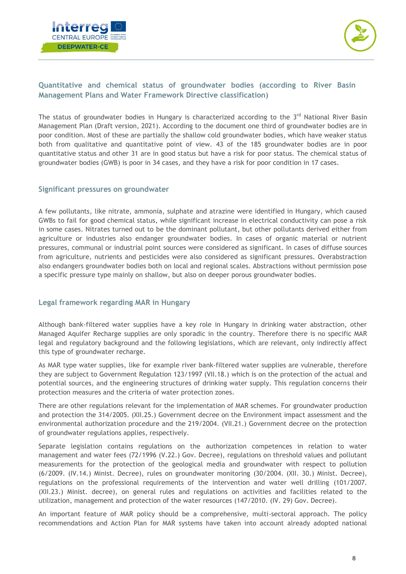



#### <span id="page-8-0"></span>**Quantitative and chemical status of groundwater bodies (according to River Basin Management Plans and Water Framework Directive classification)**

The status of groundwater bodies in Hungary is characterized according to the  $3<sup>rd</sup>$  National River Basin Management Plan (Draft version, 2021). According to the document one third of groundwater bodies are in poor condition. Most of these are partially the shallow cold groundwater bodies, which have weaker status both from qualitative and quantitative point of view. 43 of the 185 groundwater bodies are in poor quantitative status and other 31 are in good status but have a risk for poor status. The chemical status of groundwater bodies (GWB) is poor in 34 cases, and they have a risk for poor condition in 17 cases.

#### <span id="page-8-1"></span>**Significant pressures on groundwater**

A few pollutants, like nitrate, ammonia, sulphate and atrazine were identified in Hungary, which caused GWBs to fail for good chemical status, while significant increase in electrical conductivity can pose a risk in some cases. Nitrates turned out to be the dominant pollutant, but other pollutants derived either from agriculture or industries also endanger groundwater bodies. In cases of organic material or nutrient pressures, communal or industrial point sources were considered as significant. In cases of diffuse sources from agriculture, nutrients and pesticides were also considered as significant pressures. Overabstraction also endangers groundwater bodies both on local and regional scales. Abstractions without permission pose a specific pressure type mainly on shallow, but also on deeper porous groundwater bodies.

#### <span id="page-8-2"></span>**Legal framework regarding MAR in Hungary**

Although bank-filtered water supplies have a key role in Hungary in drinking water abstraction, other Managed Aquifer Recharge supplies are only sporadic in the country. Therefore there is no specific MAR legal and regulatory background and the following legislations, which are relevant, only indirectly affect this type of groundwater recharge.

As MAR type water supplies, like for example river bank-filtered water supplies are vulnerable, therefore they are subject to Government Regulation 123/1997 (VII.18.) which is on the protection of the actual and potential sources, and the engineering structures of drinking water supply. This regulation concerns their protection measures and the criteria of water protection zones.

There are other regulations relevant for the implementation of MAR schemes. For groundwater production and protection the 314/2005. (XII.25.) Government decree on the Environment impact assessment and the environmental authorization procedure and the 219/2004. (VII.21.) Government decree on the protection of groundwater regulations applies, respectively.

Separate legislation contains regulations on the authorization competences in relation to water management and water fees (72/1996 (V.22.) Gov. Decree), regulations on threshold values and pollutant measurements for the protection of the geological media and groundwater with respect to pollution (6/2009. (IV.14.) Minist. Decree), rules on groundwater monitoring (30/2004. (XII. 30.) Minist. Decree), regulations on the professional requirements of the intervention and water well drilling (101/2007. (XII.23.) Minist. decree), on general rules and regulations on activities and facilities related to the utilization, management and protection of the water resources (147/2010. (IV. 29) Gov. Decree).

An important feature of MAR policy should be a comprehensive, multi-sectoral approach. The policy recommendations and Action Plan for MAR systems have taken into account already adopted national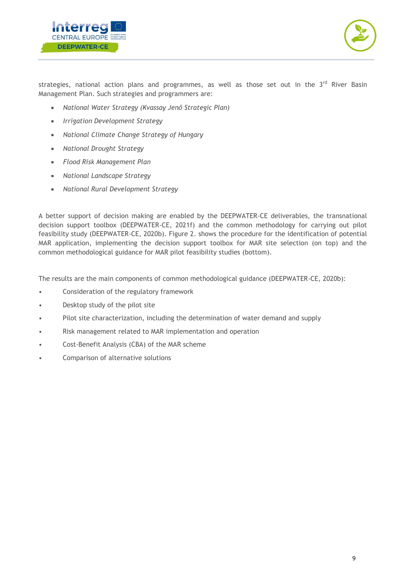



strategies, national action plans and programmes, as well as those set out in the  $3<sup>rd</sup>$  River Basin Management Plan. Such strategies and programmers are:

- *National Water Strategy (Kvassay Jenő Strategic Plan)*
- *Irrigation Development Strategy*
- *National Climate Change Strategy of Hungary*
- *National Drought Strategy*
- *Flood Risk Management Plan*
- *National Landscape Strategy*
- *National Rural Development Strategy*

A better support of decision making are enabled by the DEEPWATER-CE deliverables, the transnational decision support toolbox (DEEPWATER-CE, 2021f) and the common methodology for carrying out pilot feasibility study (DEEPWATER-CE, 2020b). Figure 2. shows the procedure for the identification of potential MAR application, implementing the decision support toolbox for MAR site selection (on top) and the common methodological guidance for MAR pilot feasibility studies (bottom).

The results are the main components of common methodological guidance (DEEPWATER-CE, 2020b):

- Consideration of the regulatory framework
- Desktop study of the pilot site
- Pilot site characterization, including the determination of water demand and supply
- Risk management related to MAR implementation and operation
- Cost-Benefit Analysis (CBA) of the MAR scheme
- Comparison of alternative solutions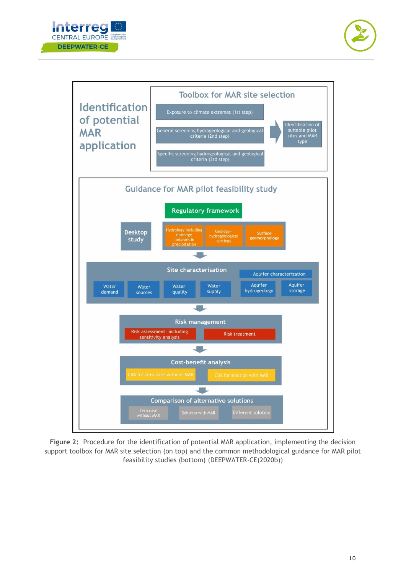





**Figure 2:** Procedure for the identification of potential MAR application, implementing the decision support toolbox for MAR site selection (on top) and the common methodological guidance for MAR pilot feasibility studies (bottom) (DEEPWATER-CE(2020b))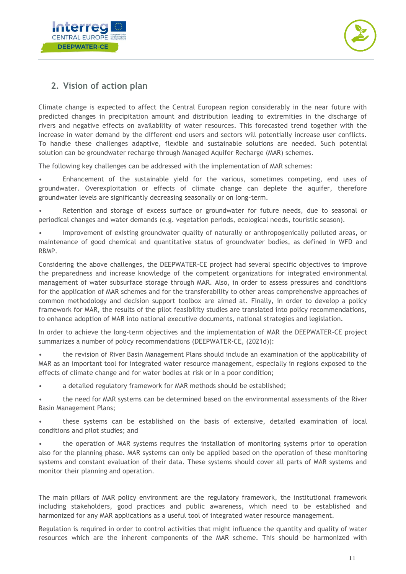



## <span id="page-11-0"></span>**2. Vision of action plan**

Climate change is expected to affect the Central European region considerably in the near future with predicted changes in precipitation amount and distribution leading to extremities in the discharge of rivers and negative effects on availability of water resources. This forecasted trend together with the increase in water demand by the different end users and sectors will potentially increase user conflicts. To handle these challenges adaptive, flexible and sustainable solutions are needed. Such potential solution can be groundwater recharge through Managed Aquifer Recharge (MAR) schemes.

The following key challenges can be addressed with the implementation of MAR schemes:

• Enhancement of the sustainable yield for the various, sometimes competing, end uses of groundwater. Overexploitation or effects of climate change can deplete the aquifer, therefore groundwater levels are significantly decreasing seasonally or on long-term.

• Retention and storage of excess surface or groundwater for future needs, due to seasonal or periodical changes and water demands (e.g. vegetation periods, ecological needs, touristic season).

• Improvement of existing groundwater quality of naturally or anthropogenically polluted areas, or maintenance of good chemical and quantitative status of groundwater bodies, as defined in WFD and RBMP.

Considering the above challenges, the DEEPWATER-CE project had several specific objectives to improve the preparedness and increase knowledge of the competent organizations for integrated environmental management of water subsurface storage through MAR. Also, in order to assess pressures and conditions for the application of MAR schemes and for the transferability to other areas comprehensive approaches of common methodology and decision support toolbox are aimed at. Finally, in order to develop a policy framework for MAR, the results of the pilot feasibility studies are translated into policy recommendations, to enhance adoption of MAR into national executive documents, national strategies and legislation.

In order to achieve the long-term objectives and the implementation of MAR the DEEPWATER-CE project summarizes a number of policy recommendations (DEEPWATER-CE, (2021d)):

• the revision of River Basin Management Plans should include an examination of the applicability of MAR as an important tool for integrated water resource management, especially in regions exposed to the effects of climate change and for water bodies at risk or in a poor condition;

• a detailed regulatory framework for MAR methods should be established;

• the need for MAR systems can be determined based on the environmental assessments of the River Basin Management Plans;

• these systems can be established on the basis of extensive, detailed examination of local conditions and pilot studies; and

• the operation of MAR systems requires the installation of monitoring systems prior to operation also for the planning phase. MAR systems can only be applied based on the operation of these monitoring systems and constant evaluation of their data. These systems should cover all parts of MAR systems and monitor their planning and operation.

The main pillars of MAR policy environment are the regulatory framework, the institutional framework including stakeholders, good practices and public awareness, which need to be established and harmonized for any MAR applications as a useful tool of integrated water resource management.

Regulation is required in order to control activities that might influence the quantity and quality of water resources which are the inherent components of the MAR scheme. This should be harmonized with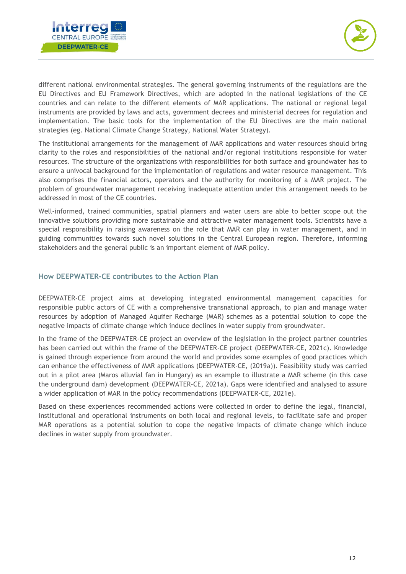



different national environmental strategies. The general governing instruments of the regulations are the EU Directives and EU Framework Directives, which are adopted in the national legislations of the CE countries and can relate to the different elements of MAR applications. The national or regional legal instruments are provided by laws and acts, government decrees and ministerial decrees for regulation and implementation. The basic tools for the implementation of the EU Directives are the main national strategies (eg. National Climate Change Strategy, National Water Strategy).

The institutional arrangements for the management of MAR applications and water resources should bring clarity to the roles and responsibilities of the national and/or regional institutions responsible for water resources. The structure of the organizations with responsibilities for both surface and groundwater has to ensure a univocal background for the implementation of regulations and water resource management. This also comprises the financial actors, operators and the authority for monitoring of a MAR project. The problem of groundwater management receiving inadequate attention under this arrangement needs to be addressed in most of the CE countries.

Well-informed, trained communities, spatial planners and water users are able to better scope out the innovative solutions providing more sustainable and attractive water management tools. Scientists have a special responsibility in raising awareness on the role that MAR can play in water management, and in guiding communities towards such novel solutions in the Central European region. Therefore, informing stakeholders and the general public is an important element of MAR policy.

#### <span id="page-12-0"></span>**How DEEPWATER-CE contributes to the Action Plan**

DEEPWATER-CE project aims at developing integrated environmental management capacities for responsible public actors of CE with a comprehensive transnational approach, to plan and manage water resources by adoption of Managed Aquifer Recharge (MAR) schemes as a potential solution to cope the negative impacts of climate change which induce declines in water supply from groundwater.

In the frame of the DEEPWATER-CE project an overview of the legislation in the project partner countries has been carried out within the frame of the DEEPWATER-CE project (DEEPWATER-CE, 2021c). Knowledge is gained through experience from around the world and provides some examples of good practices which can enhance the effectiveness of MAR applications (DEEPWATER-CE, (2019a)). Feasibility study was carried out in a pilot area (Maros alluvial fan in Hungary) as an example to illustrate a MAR scheme (in this case the underground dam) development (DEEPWATER-CE, 2021a). Gaps were identified and analysed to assure a wider application of MAR in the policy recommendations (DEEPWATER-CE, 2021e).

Based on these experiences recommended actions were collected in order to define the legal, financial, institutional and operational instruments on both local and regional levels, to facilitate safe and proper MAR operations as a potential solution to cope the negative impacts of climate change which induce declines in water supply from groundwater.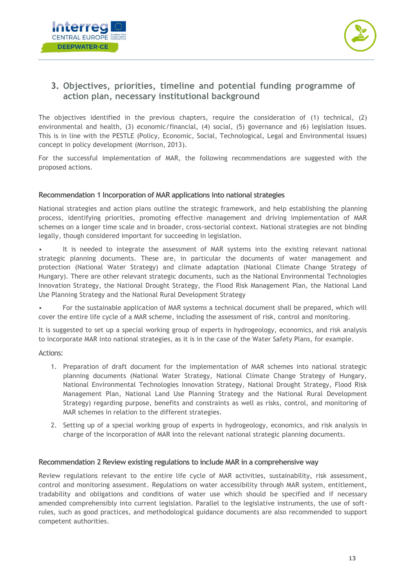



## <span id="page-13-0"></span>**3. Objectives, priorities, timeline and potential funding programme of action plan, necessary institutional background**

The objectives identified in the previous chapters, require the consideration of (1) technical, (2) environmental and health, (3) economic/financial, (4) social, (5) governance and (6) legislation issues. This is in line with the PESTLE (Policy, Economic, Social, Technological, Legal and Environmental issues) concept in policy development (Morrison, 2013).

For the successful implementation of MAR, the following recommendations are suggested with the proposed actions.

#### **Recommendation 1 Incorporation of MAR applications into national strategies**

National strategies and action plans outline the strategic framework, and help establishing the planning process, identifying priorities, promoting effective management and driving implementation of MAR schemes on a longer time scale and in broader, cross-sectorial context. National strategies are not binding legally, though considered important for succeeding in legislation.

• It is needed to integrate the assessment of MAR systems into the existing relevant national strategic planning documents. These are, in particular the documents of water management and protection (National Water Strategy) and climate adaptation (National Climate Change Strategy of Hungary). There are other relevant strategic documents, such as the National Environmental Technologies Innovation Strategy, the National Drought Strategy, the Flood Risk Management Plan, the National Land Use Planning Strategy and the National Rural Development Strategy

• For the sustainable application of MAR systems a technical document shall be prepared, which will cover the entire life cycle of a MAR scheme, including the assessment of risk, control and monitoring.

It is suggested to set up a special working group of experts in hydrogeology, economics, and risk analysis to incorporate MAR into national strategies, as it is in the case of the Water Safety Plans, for example.

Actions:

- 1. Preparation of draft document for the implementation of MAR schemes into national strategic planning documents (National Water Strategy, National Climate Change Strategy of Hungary, National Environmental Technologies Innovation Strategy, National Drought Strategy, Flood Risk Management Plan, National Land Use Planning Strategy and the National Rural Development Strategy) regarding purpose, benefits and constraints as well as risks, control, and monitoring of MAR schemes in relation to the different strategies.
- 2. Setting up of a special working group of experts in hydrogeology, economics, and risk analysis in charge of the incorporation of MAR into the relevant national strategic planning documents.

#### **Recommendation 2 Review existing regulations to include MAR in a comprehensive way**

Review regulations relevant to the entire life cycle of MAR activities, sustainability, risk assessment, control and monitoring assessment. Regulations on water accessibility through MAR system, entitlement, tradability and obligations and conditions of water use which should be specified and if necessary amended comprehensibly into current legislation. Parallel to the legislative instruments, the use of softrules, such as good practices, and methodological guidance documents are also recommended to support competent authorities.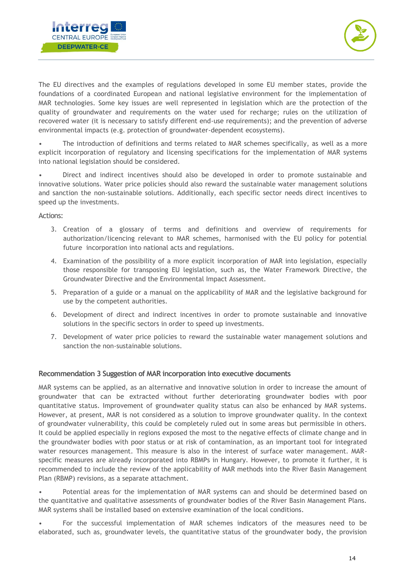



The EU directives and the examples of regulations developed in some EU member states, provide the foundations of a coordinated European and national legislative environment for the implementation of MAR technologies. Some key issues are well represented in legislation which are the protection of the quality of groundwater and requirements on the water used for recharge; rules on the utilization of recovered water (it is necessary to satisfy different end-use requirements); and the prevention of adverse environmental impacts (e.g. protection of groundwater-dependent ecosystems).

The introduction of definitions and terms related to MAR schemes specifically, as well as a more explicit incorporation of regulatory and licensing specifications for the implementation of MAR systems into national legislation should be considered.

• Direct and indirect incentives should also be developed in order to promote sustainable and innovative solutions. Water price policies should also reward the sustainable water management solutions and sanction the non-sustainable solutions. Additionally, each specific sector needs direct incentives to speed up the investments.

#### Actions:

- 3. Creation of a glossary of terms and definitions and overview of requirements for authorization/licencing relevant to MAR schemes, harmonised with the EU policy for potential future incorporation into national acts and regulations.
- 4. Examination of the possibility of a more explicit incorporation of MAR into legislation, especially those responsible for transposing EU legislation, such as, the Water Framework Directive, the Groundwater Directive and the Environmental Impact Assessment.
- 5. Preparation of a guide or a manual on the applicability of MAR and the legislative background for use by the competent authorities.
- 6. Development of direct and indirect incentives in order to promote sustainable and innovative solutions in the specific sectors in order to speed up investments.
- 7. Development of water price policies to reward the sustainable water management solutions and sanction the non-sustainable solutions.

#### **Recommendation 3 Suggestion of MAR incorporation into executive documents**

MAR systems can be applied, as an alternative and innovative solution in order to increase the amount of groundwater that can be extracted without further deteriorating groundwater bodies with poor quantitative status. Improvement of groundwater quality status can also be enhanced by MAR systems. However, at present, MAR is not considered as a solution to improve groundwater quality. In the context of groundwater vulnerability, this could be completely ruled out in some areas but permissible in others. It could be applied especially in regions exposed the most to the negative effects of climate change and in the groundwater bodies with poor status or at risk of contamination, as an important tool for integrated water resources management. This measure is also in the interest of surface water management. MARspecific measures are already incorporated into RBMPs in Hungary. However, to promote it further, it is recommended to include the review of the applicability of MAR methods into the River Basin Management Plan (RBMP) revisions, as a separate attachment.

• Potential areas for the implementation of MAR systems can and should be determined based on the quantitative and qualitative assessments of groundwater bodies of the River Basin Management Plans. MAR systems shall be installed based on extensive examination of the local conditions.

• For the successful implementation of MAR schemes indicators of the measures need to be elaborated, such as, groundwater levels, the quantitative status of the groundwater body, the provision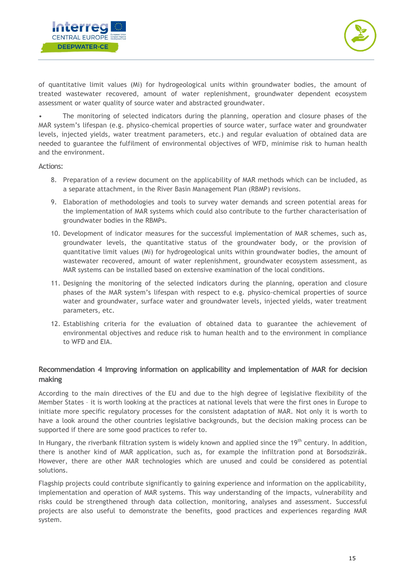



of quantitative limit values (Mi) for hydrogeological units within groundwater bodies, the amount of treated wastewater recovered, amount of water replenishment, groundwater dependent ecosystem assessment or water quality of source water and abstracted groundwater.

• The monitoring of selected indicators during the planning, operation and closure phases of the MAR system's lifespan (e.g. physico-chemical properties of source water, surface water and groundwater levels, injected yields, water treatment parameters, etc.) and regular evaluation of obtained data are needed to guarantee the fulfilment of environmental objectives of WFD, minimise risk to human health and the environment.

Actions:

- 8. Preparation of a review document on the applicability of MAR methods which can be included, as a separate attachment, in the River Basin Management Plan (RBMP) revisions.
- 9. Elaboration of methodologies and tools to survey water demands and screen potential areas for the implementation of MAR systems which could also contribute to the further characterisation of groundwater bodies in the RBMPs.
- 10. Development of indicator measures for the successful implementation of MAR schemes, such as, groundwater levels, the quantitative status of the groundwater body, or the provision of quantitative limit values (Mi) for hydrogeological units within groundwater bodies, the amount of wastewater recovered, amount of water replenishment, groundwater ecosystem assessment, as MAR systems can be installed based on extensive examination of the local conditions.
- 11. Designing the monitoring of the selected indicators during the planning, operation and closure phases of the MAR system's lifespan with respect to e.g. physico-chemical properties of source water and groundwater, surface water and groundwater levels, injected yields, water treatment parameters, etc.
- 12. Establishing criteria for the evaluation of obtained data to guarantee the achievement of environmental objectives and reduce risk to human health and to the environment in compliance to WFD and EIA.

#### **Recommendation 4 Improving information on applicability and implementation of MAR for decision making**

According to the main directives of the EU and due to the high degree of legislative flexibility of the Member States – it is worth looking at the practices at national levels that were the first ones in Europe to initiate more specific regulatory processes for the consistent adaptation of MAR. Not only it is worth to have a look around the other countries legislative backgrounds, but the decision making process can be supported if there are some good practices to refer to.

In Hungary, the riverbank filtration system is widely known and applied since the 19<sup>th</sup> century. In addition, there is another kind of MAR application, such as, for example the infiltration pond at Borsodszirák. However, there are other MAR technologies which are unused and could be considered as potential solutions.

Flagship projects could contribute significantly to gaining experience and information on the applicability, implementation and operation of MAR systems. This way understanding of the impacts, vulnerability and risks could be strengthened through data collection, monitoring, analyses and assessment. Successful projects are also useful to demonstrate the benefits, good practices and experiences regarding MAR system.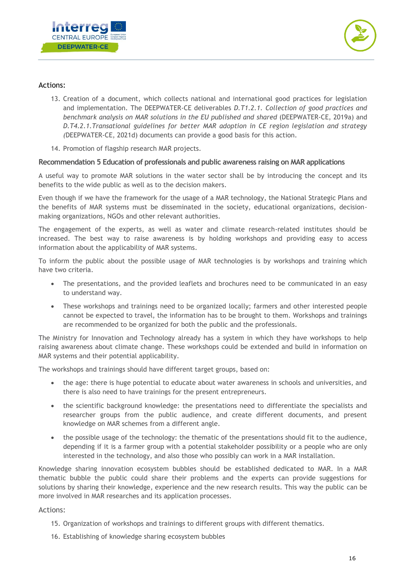



#### Actions:

- 13. Creation of a document, which collects national and international good practices for legislation and implementation. The DEEPWATER-CE deliverables *D.T1.2.1. Collection of good practices and benchmark analysis on MAR solutions in the EU published and shared* (DEEPWATER-CE, 2019a) and *D.T4.2.1.Transational guidelines for better MAR adoption in CE region legislation and strategy (*DEEPWATER-CE, 2021d) documents can provide a good basis for this action.
- 14. Promotion of flagship research MAR projects.

#### **Recommendation 5 Education of professionals and public awareness raising on MAR applications**

A useful way to promote MAR solutions in the water sector shall be by introducing the concept and its benefits to the wide public as well as to the decision makers.

Even though if we have the framework for the usage of a MAR technology, the National Strategic Plans and the benefits of MAR systems must be disseminated in the society, educational organizations, decisionmaking organizations, NGOs and other relevant authorities.

The engagement of the experts, as well as water and climate research-related institutes should be increased. The best way to raise awareness is by holding workshops and providing easy to access information about the applicability of MAR systems.

To inform the public about the possible usage of MAR technologies is by workshops and training which have two criteria.

- The presentations, and the provided leaflets and brochures need to be communicated in an easy to understand way.
- These workshops and trainings need to be organized locally; farmers and other interested people cannot be expected to travel, the information has to be brought to them. Workshops and trainings are recommended to be organized for both the public and the professionals.

The Ministry for Innovation and Technology already has a system in which they have workshops to help raising awareness about climate change. These workshops could be extended and build in information on MAR systems and their potential applicability.

The workshops and trainings should have different target groups, based on:

- the age: there is huge potential to educate about water awareness in schools and universities, and there is also need to have trainings for the present entrepreneurs.
- the scientific background knowledge: the presentations need to differentiate the specialists and researcher groups from the public audience, and create different documents, and present knowledge on MAR schemes from a different angle.
- the possible usage of the technology: the thematic of the presentations should fit to the audience, depending if it is a farmer group with a potential stakeholder possibility or a people who are only interested in the technology, and also those who possibly can work in a MAR installation.

Knowledge sharing innovation ecosystem bubbles should be established dedicated to MAR. In a MAR thematic bubble the public could share their problems and the experts can provide suggestions for solutions by sharing their knowledge, experience and the new research results. This way the public can be more involved in MAR researches and its application processes.

#### Actions:

- 15. Organization of workshops and trainings to different groups with different thematics.
- 16. Establishing of knowledge sharing ecosystem bubbles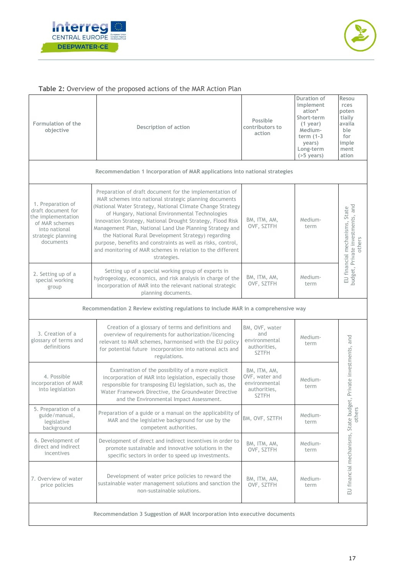



#### **Table 2:** Overview of the proposed actions of the MAR Action Plan

| Formulation of the<br>objective                                                                                                     | Description of action                                                                                                                                                                                                                                                                                                                                                                                                                                                                                                                                           | Possible<br>contributors to<br>action                                           | Duration of<br>implement<br>ation*<br>Short-term<br>$(1$ year)<br>Medium-<br>term $(1-3)$<br>years)<br>Long-term<br>$(55 \text{ years})$ | Resou<br>rces<br>poten<br>tially<br>availa<br>ble<br>for<br>imple<br>ment<br>ation |
|-------------------------------------------------------------------------------------------------------------------------------------|-----------------------------------------------------------------------------------------------------------------------------------------------------------------------------------------------------------------------------------------------------------------------------------------------------------------------------------------------------------------------------------------------------------------------------------------------------------------------------------------------------------------------------------------------------------------|---------------------------------------------------------------------------------|------------------------------------------------------------------------------------------------------------------------------------------|------------------------------------------------------------------------------------|
|                                                                                                                                     | Recommendation 1 Incorporation of MAR applications into national strategies                                                                                                                                                                                                                                                                                                                                                                                                                                                                                     |                                                                                 |                                                                                                                                          |                                                                                    |
| 1. Preparation of<br>draft document for<br>the implementation<br>of MAR schemes<br>into national<br>strategic planning<br>documents | Preparation of draft document for the implementation of<br>MAR schemes into national strategic planning documents<br>(National Water Strategy, National Climate Change Strategy<br>of Hungary, National Environmental Technologies<br>Innovation Strategy, National Drought Strategy, Flood Risk<br>Management Plan, National Land Use Planning Strategy and<br>the National Rural Development Strategy) regarding<br>purpose, benefits and constraints as well as risks, control,<br>and monitoring of MAR schemes in relation to the different<br>strategies. | BM, ITM, AM,<br>OVF, SZTFH                                                      | Medium-<br>term                                                                                                                          | budget, Private investments, and<br>EU financial mechanisms, State<br>others       |
| 2. Setting up of a<br>special working<br>group                                                                                      | Setting up of a special working group of experts in<br>hydrogeology, economics, and risk analysis in charge of the<br>incorporation of MAR into the relevant national strategic<br>planning documents.                                                                                                                                                                                                                                                                                                                                                          | BM, ITM, AM,<br>OVF, SZTFH                                                      | Medium-<br>term                                                                                                                          |                                                                                    |
|                                                                                                                                     | Recommendation 2 Review existing regulations to include MAR in a comprehensive way                                                                                                                                                                                                                                                                                                                                                                                                                                                                              |                                                                                 |                                                                                                                                          |                                                                                    |
| 3. Creation of a<br>glossary of terms and<br>definitions                                                                            | Creation of a glossary of terms and definitions and<br>overview of requirements for authorization/licencing<br>relevant to MAR schemes, harmonised with the EU policy<br>for potential future incorporation into national acts and<br>regulations.                                                                                                                                                                                                                                                                                                              | BM, OVF, water<br>and<br>environmental<br>authorities,<br><b>SZTFH</b>          | Medium-<br>term                                                                                                                          |                                                                                    |
| 4. Possible<br>incorporation of MAR<br>into legislation                                                                             | Examination of the possibility of a more explicit<br>incorporation of MAR into legislation, especially those<br>responsible for transposing EU legislation, such as, the<br>Water Framework Directive, the Groundwater Directive<br>and the Environmental Impact Assessment.                                                                                                                                                                                                                                                                                    | BM, ITM, AM,<br>OVF, water and<br>environmental<br>authorities,<br><b>SZTFH</b> | Medium-<br>term                                                                                                                          | Private investments, and                                                           |
| 5. Preparation of a<br>guide/manual,<br>legislative<br>background                                                                   | Preparation of a guide or a manual on the applicability of<br>MAR and the legislative background for use by the<br>competent authorities.                                                                                                                                                                                                                                                                                                                                                                                                                       | BM, OVF, SZTFH                                                                  | Medium-<br>term                                                                                                                          |                                                                                    |
| 6. Development of<br>direct and indirect<br>incentives                                                                              | Development of direct and indirect incentives in order to<br>promote sustainable and innovative solutions in the<br>specific sectors in order to speed up investments.                                                                                                                                                                                                                                                                                                                                                                                          | BM, ITM, AM,<br>OVF, SZTFH                                                      | Medium-<br>term                                                                                                                          |                                                                                    |
| 7. Overview of water<br>price policies                                                                                              | Development of water price policies to reward the<br>sustainable water management solutions and sanction the<br>non-sustainable solutions.                                                                                                                                                                                                                                                                                                                                                                                                                      | BM, ITM, AM,<br>OVF, SZTFH                                                      | Medium-<br>term                                                                                                                          | EU financial mechanisms, State budget<br>others                                    |
| Recommendation 3 Suggestion of MAR incorporation into executive documents                                                           |                                                                                                                                                                                                                                                                                                                                                                                                                                                                                                                                                                 |                                                                                 |                                                                                                                                          |                                                                                    |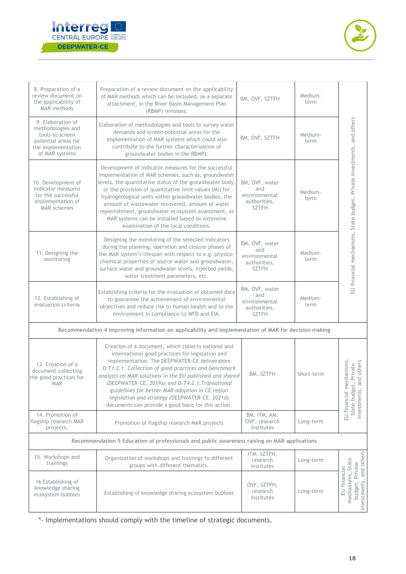



| 8. Preparation of a<br>review document on<br>the applicability of<br><b>MAR</b> methods                                  | Preparation of a review document on the applicability<br>of MAR methods which can be included, as a separate<br>attachment, in the River Basin Management Plan<br>(RBMP) revisions.                                                                                                                                                                                                                                                                                                            | BM, OVF, SZTFH                                                         | Medium-<br>term |                                                                                              |
|--------------------------------------------------------------------------------------------------------------------------|------------------------------------------------------------------------------------------------------------------------------------------------------------------------------------------------------------------------------------------------------------------------------------------------------------------------------------------------------------------------------------------------------------------------------------------------------------------------------------------------|------------------------------------------------------------------------|-----------------|----------------------------------------------------------------------------------------------|
| 9. Elaboration of<br>methodologies and<br>tools to screen<br>potential areas for<br>the implementation<br>of MAR systems | Elaboration of methodologies and tools to survey water<br>demands and screen potential areas for the<br>implementation of MAR systems which could also<br>contribute to the further characterisation of<br>groundwater bodies in the RBMPs.                                                                                                                                                                                                                                                    | BM, OVF, SZTFH                                                         | Medium-<br>term |                                                                                              |
| 10. Development of<br>indicator measures<br>for the successful<br>implementation of<br><b>MAR</b> schemes                | Development of indicator measures for the successful<br>implementation of MAR schemes, such as, groundwater<br>levels, the quantitative status of the groundwater body,<br>or the provision of quantitative limit values (Mi) for<br>hydrogeological units within groundwater bodies, the<br>amount of wastewater recovered, amount of water<br>replenishment, groundwater ecosystem assessment, as<br>MAR systems can be installed based on extensive<br>examination of the local conditions. | BM, OVF, water<br>and<br>environmental<br>authorities,<br><b>SZTFH</b> | Medium-<br>term | EU financial mechanisms, State budget, Private investments, and others                       |
| 11. Designing the<br>monitoring                                                                                          | Designing the monitoring of the selected indicators<br>during the planning, operation and closure phases of<br>the MAR system's lifespan with respect to e.g. physico-<br>chemical properties of source water and groundwater,<br>surface water and groundwater levels, injected yields,<br>water treatment parameters, etc.                                                                                                                                                                   | BM, OVF, water<br>and<br>environmental<br>authorities,<br><b>SZTFH</b> | Medium-<br>term |                                                                                              |
| 12. Establishing of<br>evaluation criteria                                                                               | Establishing criteria for the evaluation of obtained data<br>to guarantee the achievement of environmental<br>objectives and reduce risk to human health and to the<br>environment in compliance to WFD and EIA.                                                                                                                                                                                                                                                                               | BM, OVF, water<br>and<br>environmental<br>authorities,<br><b>SZTFH</b> | Medium-<br>term |                                                                                              |
|                                                                                                                          | Recommendation 4 Improving information on applicability and implementation of MAR for decision making                                                                                                                                                                                                                                                                                                                                                                                          |                                                                        |                 |                                                                                              |
| 13. Creation of a<br>document collecting<br>the good practices for<br><b>MAR</b>                                         | Creation of a document, which collects national and<br>international good practices for legislation and<br>implementation. The DEEPWATER-CE deliverables<br>D.T1.2.1. Collection of good practices and benchmark<br>analysis on MAR solutions in the EU published and shared<br>(DEEPWATER-CE, 2019a) and D.T4.2.1. Transational<br>guidelines for better MAR adoption in CE region<br>legislation and strategy (DEEPWATER-CE, 2021d)<br>documents can provide a good basis for this action.   | BM, SZTFH                                                              | Short-term      | EU financial mechanisms,<br>et, Private<br>and others<br>State budget, F<br>investments, and |
| 14. Promotion of<br>flagship research MAR<br>projects.                                                                   | Promotion of flagship research MAR projects                                                                                                                                                                                                                                                                                                                                                                                                                                                    | BM, ITM, AM,<br>OVF, research<br>institutes                            | Long-term       |                                                                                              |
| Recommendation 5 Education of professionals and public awareness raising on MAR applications                             |                                                                                                                                                                                                                                                                                                                                                                                                                                                                                                |                                                                        |                 |                                                                                              |
| 15. Workshops and<br>trainings                                                                                           | Organization of workshops and trainings to different<br>groups with different thematics.                                                                                                                                                                                                                                                                                                                                                                                                       | ITM, SZTFH,<br>research<br>institutes                                  | Long-term       |                                                                                              |
| 16 Establishing of<br>knowledge sharing<br>ecosystem bubbles                                                             | Establishing of knowledge sharing ecosystem bubbles                                                                                                                                                                                                                                                                                                                                                                                                                                            | OVF, SZTFH,<br>research<br>institutes                                  | Long-term       | budget, Private<br>investments, and others<br>mechanisms, State<br>EU financial              |

\*- Implementations should comply with the timeline of strategic documents.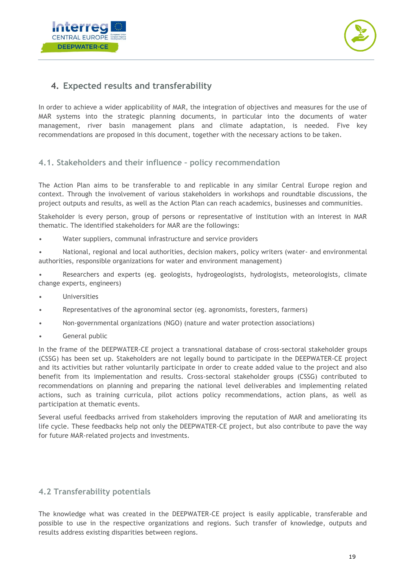



## <span id="page-19-0"></span>**4. Expected results and transferability**

In order to achieve a wider applicability of MAR, the integration of objectives and measures for the use of MAR systems into the strategic planning documents, in particular into the documents of water management, river basin management plans and climate adaptation, is needed. Five key recommendations are proposed in this document, together with the necessary actions to be taken.

#### <span id="page-19-1"></span>**4.1. Stakeholders and their influence – policy recommendation**

The Action Plan aims to be transferable to and replicable in any similar Central Europe region and context. Through the involvement of various stakeholders in workshops and roundtable discussions, the project outputs and results, as well as the Action Plan can reach academics, businesses and communities.

Stakeholder is every person, group of persons or representative of institution with an interest in MAR thematic. The identified stakeholders for MAR are the followings:

Water suppliers, communal infrastructure and service providers

• National, regional and local authorities, decision makers, policy writers (water- and environmental authorities, responsible organizations for water and environment management)

• Researchers and experts (eg. geologists, hydrogeologists, hydrologists, meteorologists, climate change experts, engineers)

- Universities
- Representatives of the agronominal sector (eg. agronomists, foresters, farmers)
- Non-governmental organizations (NGO) (nature and water protection associations)
- General public

In the frame of the DEEPWATER-CE project a transnational database of cross-sectoral stakeholder groups (CSSG) has been set up. Stakeholders are not legally bound to participate in the DEEPWATER-CE project and its activities but rather voluntarily participate in order to create added value to the project and also benefit from its implementation and results. Cross-sectoral stakeholder groups (CSSG) contributed to recommendations on planning and preparing the national level deliverables and implementing related actions, such as training curricula, pilot actions policy recommendations, action plans, as well as participation at thematic events.

Several useful feedbacks arrived from stakeholders improving the reputation of MAR and ameliorating its life cycle. These feedbacks help not only the DEEPWATER-CE project, but also contribute to pave the way for future MAR-related projects and investments.

#### <span id="page-19-2"></span>**4.2 Transferability potentials**

The knowledge what was created in the DEEPWATER-CE project is easily applicable, transferable and possible to use in the respective organizations and regions. Such transfer of knowledge, outputs and results address existing disparities between regions.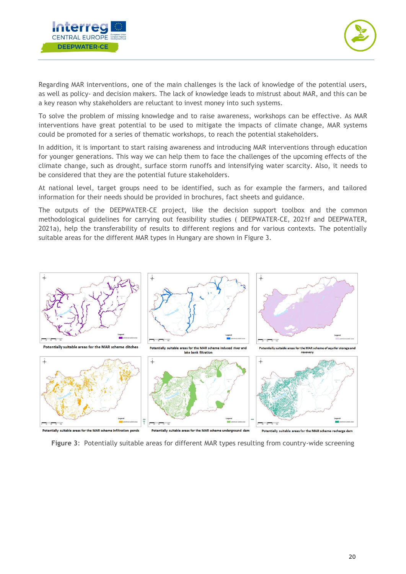



Regarding MAR interventions, one of the main challenges is the lack of knowledge of the potential users, as well as policy- and decision makers. The lack of knowledge leads to mistrust about MAR, and this can be a key reason why stakeholders are reluctant to invest money into such systems.

To solve the problem of missing knowledge and to raise awareness, workshops can be effective. As MAR interventions have great potential to be used to mitigate the impacts of climate change, MAR systems could be promoted for a series of thematic workshops, to reach the potential stakeholders.

In addition, it is important to start raising awareness and introducing MAR interventions through education for younger generations. This way we can help them to face the challenges of the upcoming effects of the climate change, such as drought, surface storm runoffs and intensifying water scarcity. Also, it needs to be considered that they are the potential future stakeholders.

At national level, target groups need to be identified, such as for example the farmers, and tailored information for their needs should be provided in brochures, fact sheets and guidance.

The outputs of the DEEPWATER-CE project, like the decision support toolbox and the common methodological guidelines for carrying out feasibility studies ( DEEPWATER-CE, 2021f and DEEPWATER, 2021a), help the transferability of results to different regions and for various contexts. The potentially suitable areas for the different MAR types in Hungary are shown in Figure 3.



**Figure 3**: Potentially suitable areas for different MAR types resulting from country-wide screening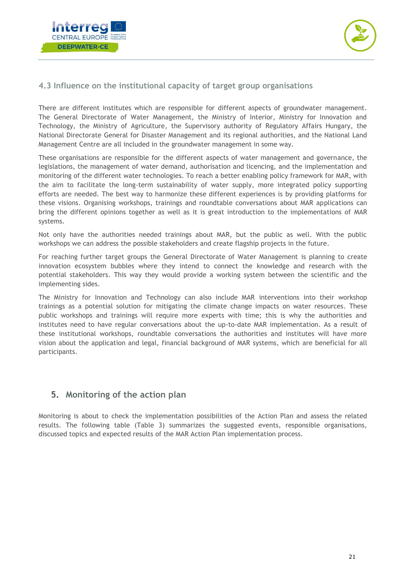



#### <span id="page-21-0"></span>**4.3 Influence on the institutional capacity of target group organisations**

There are different institutes which are responsible for different aspects of groundwater management. The General Directorate of Water Management, the Ministry of Interior, Ministry for Innovation and Technology, the Ministry of Agriculture, the Supervisory authority of Regulatory Affairs Hungary, the National Directorate General for Disaster Management and its regional authorities, and the National Land Management Centre are all included in the groundwater management in some way.

These organisations are responsible for the different aspects of water management and governance, the legislations, the management of water demand, authorisation and licencing, and the implementation and monitoring of the different water technologies. To reach a better enabling policy framework for MAR, with the aim to facilitate the long-term sustainability of water supply, more integrated policy supporting efforts are needed. The best way to harmonize these different experiences is by providing platforms for these visions. Organising workshops, trainings and roundtable conversations about MAR applications can bring the different opinions together as well as it is great introduction to the implementations of MAR systems.

Not only have the authorities needed trainings about MAR, but the public as well. With the public workshops we can address the possible stakeholders and create flagship projects in the future.

For reaching further target groups the General Directorate of Water Management is planning to create innovation ecosystem bubbles where they intend to connect the knowledge and research with the potential stakeholders. This way they would provide a working system between the scientific and the implementing sides.

The Ministry for Innovation and Technology can also include MAR interventions into their workshop trainings as a potential solution for mitigating the climate change impacts on water resources. These public workshops and trainings will require more experts with time; this is why the authorities and institutes need to have regular conversations about the up-to-date MAR implementation. As a result of these institutional workshops, roundtable conversations the authorities and institutes will have more vision about the application and legal, financial background of MAR systems, which are beneficial for all participants.

## <span id="page-21-1"></span>**5. Monitoring of the action plan**

Monitoring is about to check the implementation possibilities of the Action Plan and assess the related results. The following table (Table 3) summarizes the suggested events, responsible organisations, discussed topics and expected results of the MAR Action Plan implementation process.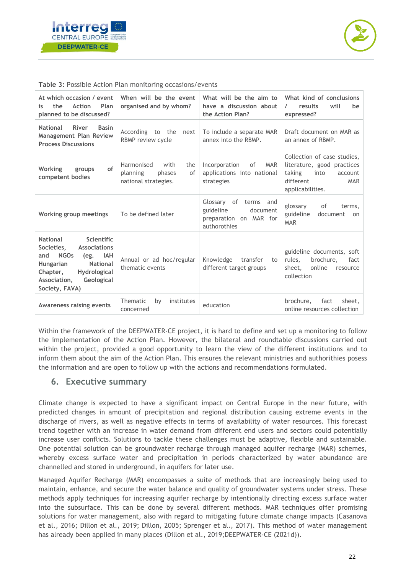



| At which occasion / event<br>Action<br>Plan<br>the<br>1S.<br>planned to be discussed?                                                                                                                                                 | When will be the event<br>organised and by whom?                              | What will be the aim to<br>have a discussion about<br>the Action Plan?                      | What kind of conclusions<br>results<br>will<br>$\prime$<br>be<br>expressed?                                                           |
|---------------------------------------------------------------------------------------------------------------------------------------------------------------------------------------------------------------------------------------|-------------------------------------------------------------------------------|---------------------------------------------------------------------------------------------|---------------------------------------------------------------------------------------------------------------------------------------|
| <b>National</b><br>River<br><b>Basin</b><br><b>Management Plan Review</b><br><b>Process Discussions</b>                                                                                                                               | According to the<br>next<br>RBMP review cycle                                 | To include a separate MAR<br>annex into the RBMP.                                           | Draft document on MAR as<br>an annex of RBMP.                                                                                         |
| of<br>Working<br>groups<br>competent bodies                                                                                                                                                                                           | Harmonised<br>with<br>the<br>planning<br>phases<br>of<br>national strategies. | <b>MAR</b><br>Incorporation<br>of<br>applications into national<br>strategies               | Collection of case studies,<br>literature, good practices<br>taking<br>into<br>account<br>different<br><b>MAR</b><br>applicabilities. |
| Working group meetings                                                                                                                                                                                                                | To be defined later                                                           | Glossary of<br>terms and<br>guideline<br>document<br>preparation on MAR for<br>authorothies | of<br>glossary<br>terms,<br>guideline<br>document<br>on<br><b>MAR</b>                                                                 |
| <b>Scientific</b><br><b>National</b><br><b>Associations</b><br>Societies.<br><b>NGOs</b><br>and<br>(eg. IAH<br><b>National</b><br><b>Hungarian</b><br>Chapter,<br><b>Hydrological</b><br>Geological<br>Association,<br>Society, FAVA) | Annual or ad hoc/regular<br>thematic events                                   | Knowledge transfer<br>to<br>different target groups                                         | guideline documents, soft<br>rules.<br>brochure,<br>fact<br>online<br>sheet.<br>resource<br>collection                                |
| <b>Awareness raising events</b>                                                                                                                                                                                                       | Thematic<br>institutes<br>by<br>concerned                                     | education                                                                                   | fact<br>brochure.<br>sheet.<br>online resources collection                                                                            |

**Table 3:** Possible Action Plan monitoring occasions/events

Within the framework of the DEEPWATER-CE project, it is hard to define and set up a monitoring to follow the implementation of the Action Plan. However, the bilateral and roundtable discussions carried out within the project, provided a good opportunity to learn the view of the different institutions and to inform them about the aim of the Action Plan. This ensures the relevant ministries and authorithies posess the information and are open to follow up with the actions and recommendations formulated.

#### <span id="page-22-0"></span>**6. Executive summary**

Climate change is expected to have a significant impact on Central Europe in the near future, with predicted changes in amount of precipitation and regional distribution causing extreme events in the discharge of rivers, as well as negative effects in terms of availability of water resources. This forecast trend together with an increase in water demand from different end users and sectors could potentially increase user conflicts. Solutions to tackle these challenges must be adaptive, flexible and sustainable. One potential solution can be groundwater recharge through managed aquifer recharge (MAR) schemes, whereby excess surface water and precipitation in periods characterized by water abundance are channelled and stored in underground, in aquifers for later use.

Managed Aquifer Recharge (MAR) encompasses a suite of methods that are increasingly being used to maintain, enhance, and secure the water balance and quality of groundwater systems under stress. These methods apply techniques for increasing aquifer recharge by intentionally directing excess surface water into the subsurface. This can be done by several different methods. MAR techniques offer promising solutions for water management, also with regard to mitigating future climate change impacts (Casanova et al., 2016; Dillon et al., 2019; Dillon, 2005; Sprenger et al., 2017). This method of water management has already been applied in many places (Dillon et al., 2019;DEEPWATER-CE (2021d)).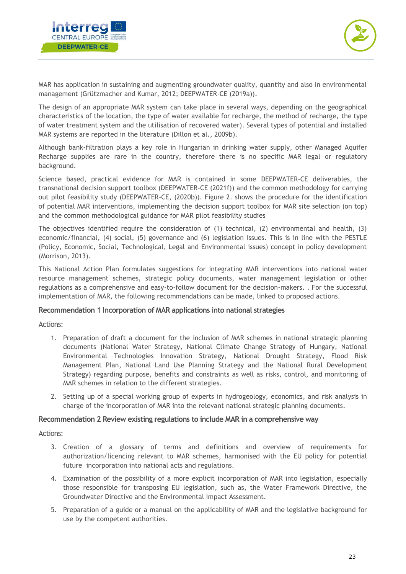



MAR has application in sustaining and augmenting groundwater quality, quantity and also in environmental management (Grützmacher and Kumar, 2012; DEEPWATER-CE (2019a)).

The design of an appropriate MAR system can take place in several ways, depending on the geographical characteristics of the location, the type of water available for recharge, the method of recharge, the type of water treatment system and the utilisation of recovered water). Several types of potential and installed MAR systems are reported in the literature (Dillon et al., 2009b).

Although bank-filtration plays a key role in Hungarian in drinking water supply, other Managed Aquifer Recharge supplies are rare in the country, therefore there is no specific MAR legal or regulatory background.

Science based, practical evidence for MAR is contained in some DEEPWATER-CE deliverables, the transnational decision support toolbox (DEEPWATER-CE (2021f)) and the common methodology for carrying out pilot feasibility study (DEEPWATER-CE, (2020b)). Figure 2. shows the procedure for the identification of potential MAR interventions, implementing the decision support toolbox for MAR site selection (on top) and the common methodological guidance for MAR pilot feasibility studies

The objectives identified require the consideration of (1) technical, (2) environmental and health, (3) economic/financial, (4) social, (5) governance and (6) legislation issues. This is in line with the PESTLE (Policy, Economic, Social, Technological, Legal and Environmental issues) concept in policy development (Morrison, 2013).

This National Action Plan formulates suggestions for integrating MAR interventions into national water resource management schemes, strategic policy documents, water management legislation or other regulations as a comprehensive and easy-to-follow document for the decision-makers. . For the successful implementation of MAR, the following recommendations can be made, linked to proposed actions.

#### **Recommendation 1 Incorporation of MAR applications into national strategies**

Actions:

- 1. Preparation of draft a document for the inclusion of MAR schemes in national strategic planning documents (National Water Strategy, National Climate Change Strategy of Hungary, National Environmental Technologies Innovation Strategy, National Drought Strategy, Flood Risk Management Plan, National Land Use Planning Strategy and the National Rural Development Strategy) regarding purpose, benefits and constraints as well as risks, control, and monitoring of MAR schemes in relation to the different strategies.
- 2. Setting up of a special working group of experts in hydrogeology, economics, and risk analysis in charge of the incorporation of MAR into the relevant national strategic planning documents.

#### **Recommendation 2 Review existing regulations to include MAR in a comprehensive way**

Actions:

- 3. Creation of a glossary of terms and definitions and overview of requirements for authorization/licencing relevant to MAR schemes, harmonised with the EU policy for potential future incorporation into national acts and regulations.
- 4. Examination of the possibility of a more explicit incorporation of MAR into legislation, especially those responsible for transposing EU legislation, such as, the Water Framework Directive, the Groundwater Directive and the Environmental Impact Assessment.
- 5. Preparation of a guide or a manual on the applicability of MAR and the legislative background for use by the competent authorities.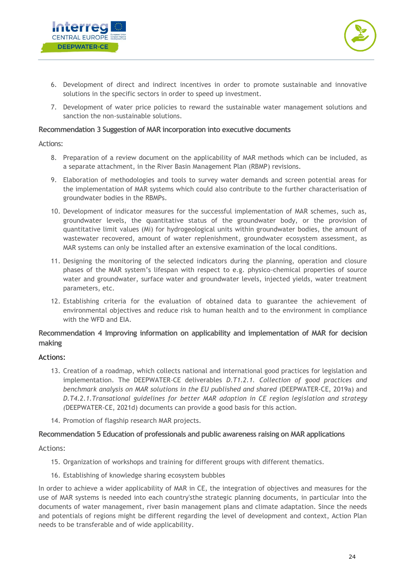



- 6. Development of direct and indirect incentives in order to promote sustainable and innovative solutions in the specific sectors in order to speed up investment.
- 7. Development of water price policies to reward the sustainable water management solutions and sanction the non-sustainable solutions.

#### **Recommendation 3 Suggestion of MAR incorporation into executive documents**

Actions:

- 8. Preparation of a review document on the applicability of MAR methods which can be included, as a separate attachment, in the River Basin Management Plan (RBMP) revisions.
- 9. Elaboration of methodologies and tools to survey water demands and screen potential areas for the implementation of MAR systems which could also contribute to the further characterisation of groundwater bodies in the RBMPs.
- 10. Development of indicator measures for the successful implementation of MAR schemes, such as, groundwater levels, the quantitative status of the groundwater body, or the provision of quantitative limit values (Mi) for hydrogeological units within groundwater bodies, the amount of wastewater recovered, amount of water replenishment, groundwater ecosystem assessment, as MAR systems can only be installed after an extensive examination of the local conditions.
- 11. Designing the monitoring of the selected indicators during the planning, operation and closure phases of the MAR system's lifespan with respect to e.g. physico-chemical properties of source water and groundwater, surface water and groundwater levels, injected yields, water treatment parameters, etc.
- 12. Establishing criteria for the evaluation of obtained data to guarantee the achievement of environmental objectives and reduce risk to human health and to the environment in compliance with the WFD and EIA.

#### **Recommendation 4 Improving information on applicability and implementation of MAR for decision making**

#### Actions:

- 13. Creation of a roadmap, which collects national and international good practices for legislation and implementation. The DEEPWATER-CE deliverables *D.T1.2.1. Collection of good practices and benchmark analysis on MAR solutions in the EU published and shared* (DEEPWATER-CE, 2019a) and *D.T4.2.1.Transational guidelines for better MAR adoption in CE region legislation and strategy (*DEEPWATER-CE, 2021d) documents can provide a good basis for this action.
- 14. Promotion of flagship research MAR projects.

#### **Recommendation 5 Education of professionals and public awareness raising on MAR applications**

Actions:

- 15. Organization of workshops and training for different groups with different thematics.
- 16. Establishing of knowledge sharing ecosystem bubbles

In order to achieve a wider applicability of MAR in CE, the integration of objectives and measures for the use of MAR systems is needed into each country'sthe strategic planning documents, in particular into the documents of water management, river basin management plans and climate adaptation. Since the needs and potentials of regions might be different regarding the level of development and context, Action Plan needs to be transferable and of wide applicability.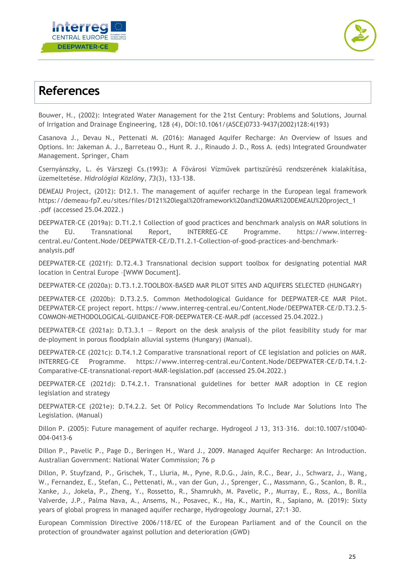



# <span id="page-25-0"></span>**References**

Bouwer, H., (2002): Integrated Water Management for the 21st Century: Problems and Solutions, Journal of Irrigation and Drainage Engineering, 128 (4), DOI:10.1061/(ASCE)0733-9437(2002)128:4(193)

Casanova J., Devau N., Pettenati M. (2016): Managed Aquifer Recharge: An Overview of Issues and Options. In: Jakeman A. J., Barreteau O., Hunt R. J., Rinaudo J. D., Ross A. (eds) Integrated Groundwater Management. Springer, Cham

Csernyánszky, L. és Várszegi Cs.(1993): A Fővárosi Vízművek partiszűrésű rendszerének kialakítása, üzemeltetése. *Hidrológiai Közlöny*, *73*(3), 133-138.

DEMEAU Project, (2012): D12.1. The management of aquifer recharge in the European legal framework [https://demeau-fp7.eu/sites/files/D121%20legal%20framework%20and%20MAR%20DEMEAU%20project\\_1](https://demeau-fp7.eu/sites/files/D121%20legal%20framework%20and%20MAR%20DEMEAU%20project_1%20.pdf)  [.pdf](https://demeau-fp7.eu/sites/files/D121%20legal%20framework%20and%20MAR%20DEMEAU%20project_1%20.pdf) (accessed 25.04.2022.)

DEEPWATER-CE (2019a): D.T1.2.1 Collection of good practices and benchmark analysis on MAR solutions in the EU. Transnational Report, INTERREG-CE Programme. https://www.interregcentral.eu/Content.Node/DEEPWATER-CE/D.T1.2.1-Collection-of-good-practices-and-benchmarkanalysis.pdf

DEEPWATER-CE (2021f): D.T2.4.3 Transnational decision support toolbox for designating potential MAR location in Central Europe –[WWW Document].

DEEPWATER-CE (2020a): D.T3.1.2.TOOLBOX-BASED MAR PILOT SITES AND AQUIFERS SELECTED (HUNGARY)

DEEPWATER-CE (2020b): D.T3.2.5. Common Methodological Guidance for DEEPWATER-CE MAR Pilot. DEEPWATER-CE project report. [https://www.interreg-central.eu/Content.Node/DEEPWATER-CE/D.T3.2.5-](https://www.interreg-central.eu/Content.Node/DEEPWATER-CE/D.T3.2.5-COMMON-METHODOLOGICAL-GUIDANCE-FOR-DEEPWATER-CE-MAR.pdf) [COMMON-METHODOLOGICAL-GUIDANCE-FOR-DEEPWATER-CE-MAR.pdf](https://www.interreg-central.eu/Content.Node/DEEPWATER-CE/D.T3.2.5-COMMON-METHODOLOGICAL-GUIDANCE-FOR-DEEPWATER-CE-MAR.pdf) (accessed 25.04.2022.)

DEEPWATER-CE (2021a): D.T3.3.1 - Report on the desk analysis of the pilot feasibility study for mar de-ployment in porous floodplain alluvial systems (Hungary) (Manual).

DEEPWATER-CE (2021c): D.T4.1.2 Comparative transnational report of CE legislation and policies on MAR. INTERREG-CE Programme. [https://www.interreg-central.eu/Content.Node/DEEPWATER-CE/D.T4.1.2-](https://www.interreg-central.eu/Content.Node/DEEPWATER-CE/D.T4.1.2-Comparative-CE-transnational-report-MAR-legislation.pdf) [Comparative-CE-transnational-report-MAR-legislation.pdf](https://www.interreg-central.eu/Content.Node/DEEPWATER-CE/D.T4.1.2-Comparative-CE-transnational-report-MAR-legislation.pdf) (accessed 25.04.2022.)

DEEPWATER-CE (2021d): D.T4.2.1. Transnational guidelines for better MAR adoption in CE region legislation and strategy

DEEPWATER-CE (2021e): D.T4.2.2. Set Of Policy Recommendations To Include Mar Solutions Into The Legislation. (Manual)

Dillon P. (2005): Future management of aquifer recharge. Hydrogeol J 13, 313–316. doi:10.1007/s10040- 004-0413-6

Dillon P., Pavelic P., Page D., Beringen H., Ward J., 2009. Managed Aquifer Recharge: An Introduction. Australian Government: National Water Commission; 76 p

Dillon, P. Stuyfzand, P., Grischek, T., Lluria, M., Pyne, R.D.G., Jain, R.C., Bear, J., Schwarz, J., Wang, W., Fernandez, E., Stefan, C., Pettenati, M., van der Gun, J., Sprenger, C., Massmann, G., Scanlon, B. R., Xanke, J., Jokela, P., Zheng, Y., Rossetto, R., Shamrukh, M. Pavelic, P., Murray, E., Ross, A., Bonilla Valverde, J.P., Palma Nava, A., Ansems, N., Posavec, K., Ha, K., Martin, R., Sapiano, M. (2019): Sixty years of global progress in managed aquifer recharge, Hydrogeology Journal, 27:1–30.

European Commission Directive 2006/118/EC of the European Parliament and of the Council on the protection of groundwater against pollution and deterioration (GWD)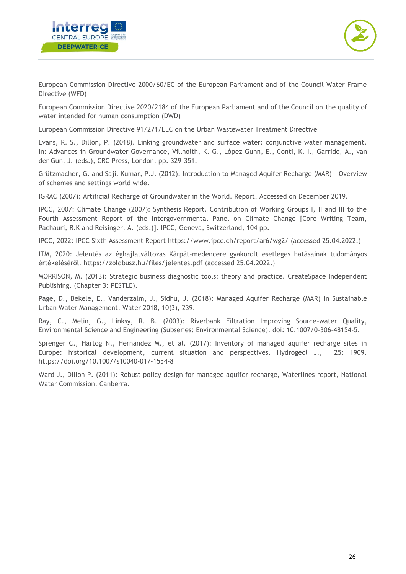



European Commission Directive 2000/60/EC of the European Parliament and of the Council Water Frame Directive (WFD)

European Commission Directive 2020/2184 of the European Parliament and of the Council on the quality of water intended for human consumption (DWD)

European Commission Directive 91/271/EEC on the Urban Wastewater Treatment Directive

Evans, R. S., Dillon, P. (2018). Linking groundwater and surface water: conjunctive water management. In: Advances in Groundwater Governance, Villholth, K. G., López-Gunn, E., Conti, K. I., Garrido, A., van der Gun, J. (eds.), CRC Press, London, pp. 329-351.

Grützmacher, G. and Sajil Kumar, P.J. (2012): Introduction to Managed Aquifer Recharge (MAR) – Overview of schemes and settings world wide.

IGRAC (2007): Artificial Recharge of Groundwater in the World. Report. Accessed on December 2019.

IPCC, 2007: Climate Change (2007): Synthesis Report. Contribution of Working Groups I, II and III to the Fourth Assessment Report of the Intergovernmental Panel on Climate Change [Core Writing Team, Pachauri, R.K and Reisinger, A. (eds.)]. IPCC, Geneva, Switzerland, 104 pp.

IPCC, 2022: [IPCC Sixth Assessment Report](https://www.ipcc.ch/report/ar6/wg2/) <https://www.ipcc.ch/report/ar6/wg2/> (accessed 25.04.2022.)

ITM, 2020: Jelentés az éghajlatváltozás Kárpát-medencére gyakorolt esetleges hatásainak tudományos értékeléséről. <https://zoldbusz.hu/files/jelentes.pdf> (accessed 25.04.2022.)

MORRISON, M. (2013): Strategic business diagnostic tools: theory and practice. CreateSpace Independent Publishing. (Chapter 3: PESTLE).

Page, D., Bekele, E., Vanderzalm, J., Sidhu, J. (2018): Managed Aquifer Recharge (MAR) in Sustainable Urban Water Management, Water 2018, 10(3), 239.

Ray, C., Melin, G., Linksy, R. B. (2003): Riverbank Filtration Improving Source-water Quality, Environmental Science and Engineering (Subseries: Environmental Science). doi: 10.1007/0-306-48154-5.

Sprenger C., Hartog N., Hernández M., et al. (2017): Inventory of managed aquifer recharge sites in Europe: historical development, current situation and perspectives. Hydrogeol J., 25: 1909. https://doi.org/10.1007/s10040-017-1554-8

Ward J., Dillon P. (2011): Robust policy design for managed aquifer recharge, Waterlines report, National Water Commission, Canberra.